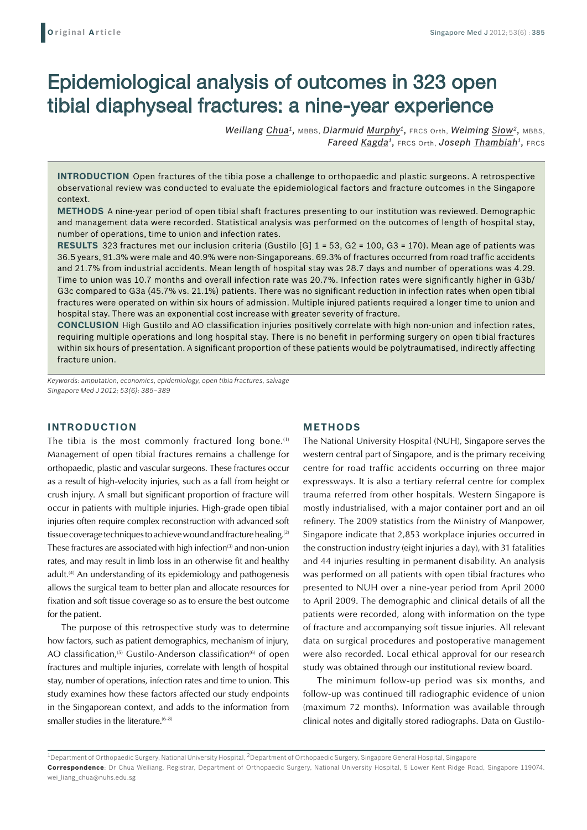# Epidemiological analysis of outcomes in 323 open tibial diaphyseal fractures: a nine-year experience

*Weiliang Chua1,* MBBS, *Diarmuid Murphy1,* FRCS Orth, *Weiming Siow2,* MBBS, *Fareed Kagda1,* FRCS Orth, *Joseph Thambiah1,* FRCS

**INTRODUCTION** Open fractures of the tibia pose a challenge to orthopaedic and plastic surgeons. A retrospective observational review was conducted to evaluate the epidemiological factors and fracture outcomes in the Singapore context.

**Methods** A nine-year period of open tibial shaft fractures presenting to our institution was reviewed. Demographic and management data were recorded. Statistical analysis was performed on the outcomes of length of hospital stay, number of operations, time to union and infection rates.

**Results** 323 fractures met our inclusion criteria (Gustilo [G] 1 = 53, G2 = 100, G3 = 170). Mean age of patients was 36.5 years, 91.3% were male and 40.9% were non-Singaporeans. 69.3% of fractures occurred from road traffic accidents and 21.7% from industrial accidents. Mean length of hospital stay was 28.7 days and number of operations was 4.29. Time to union was 10.7 months and overall infection rate was 20.7%. Infection rates were significantly higher in G3b/ G3c compared to G3a (45.7% vs. 21.1%) patients. There was no significant reduction in infection rates when open tibial fractures were operated on within six hours of admission. Multiple injured patients required a longer time to union and hospital stay. There was an exponential cost increase with greater severity of fracture.

**Conclusion** High Gustilo and AO classification injuries positively correlate with high non-union and infection rates, requiring multiple operations and long hospital stay. There is no benefit in performing surgery on open tibial fractures within six hours of presentation. A significant proportion of these patients would be polytraumatised, indirectly affecting fracture union.

*Keywords: amputation, economics, epidemiology, open tibia fractures, salvage Singapore Med J 2012; 53(6): 385–389*

## **INTRODUCTION**

The tibia is the most commonly fractured long bone.<sup>(1)</sup> Management of open tibial fractures remains a challenge for orthopaedic, plastic and vascular surgeons. These fractures occur as a result of high-velocity injuries, such as a fall from height or crush injury. A small but significant proportion of fracture will occur in patients with multiple injuries. High-grade open tibial injuries often require complex reconstruction with advanced soft tissue coverage techniques to achieve wound and fracture healing.(2) These fractures are associated with high infection $(3)$  and non-union rates, and may result in limb loss in an otherwise fit and healthy adult.<sup>(4)</sup> An understanding of its epidemiology and pathogenesis allows the surgical team to better plan and allocate resources for fixation and soft tissue coverage so as to ensure the best outcome for the patient.

The purpose of this retrospective study was to determine how factors, such as patient demographics, mechanism of injury, AO classification,<sup>(5)</sup> Gustilo-Anderson classification<sup>(6)</sup> of open fractures and multiple injuries, correlate with length of hospital stay, number of operations, infection rates and time to union. This study examines how these factors affected our study endpoints in the Singaporean context, and adds to the information from smaller studies in the literature.<sup> $(6-8)$ </sup>

## **METHODS**

The National University Hospital (NUH), Singapore serves the western central part of Singapore, and is the primary receiving centre for road traffic accidents occurring on three major expressways. It is also a tertiary referral centre for complex trauma referred from other hospitals. Western Singapore is mostly industrialised, with a major container port and an oil refinery. The 2009 statistics from the Ministry of Manpower, Singapore indicate that 2,853 workplace injuries occurred in the construction industry (eight injuries a day), with 31 fatalities and 44 injuries resulting in permanent disability. An analysis was performed on all patients with open tibial fractures who presented to NUH over a nine-year period from April 2000 to April 2009. The demographic and clinical details of all the patients were recorded, along with information on the type of fracture and accompanying soft tissue injuries. All relevant data on surgical procedures and postoperative management were also recorded. Local ethical approval for our research study was obtained through our institutional review board.

The minimum follow-up period was six months, and follow-up was continued till radiographic evidence of union (maximum 72 months). Information was available through clinical notes and digitally stored radiographs. Data on Gustilo-

 $^{\rm 1}$ Department of Orthopaedic Surgery, National University Hospital,  $^{\rm 2}$ Department of Orthopaedic Surgery, Singapore General Hospital, Singapore **Correspondence**: Dr Chua Weiliang, Registrar, Department of Orthopaedic Surgery, National University Hospital, 5 Lower Kent Ridge Road, Singapore 119074. wei\_liang\_chua@nuhs.edu.sg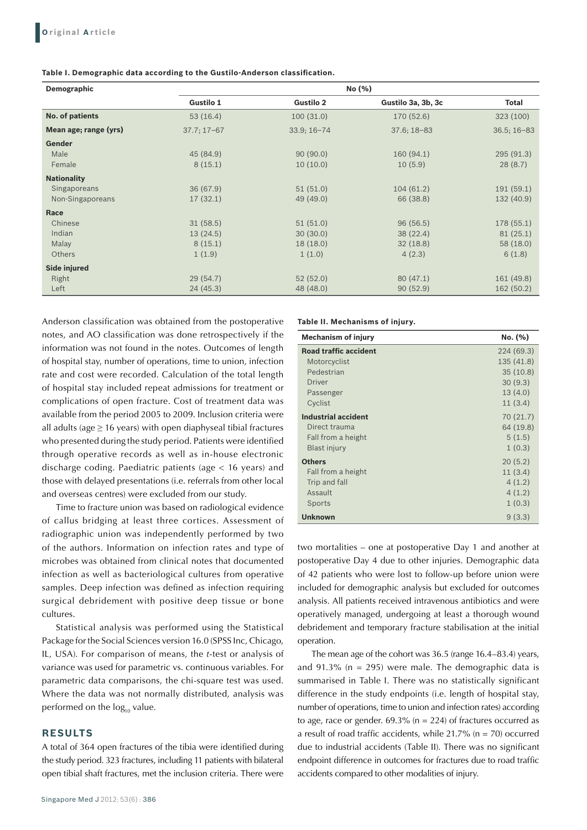#### **Table I. Demographic data according to the Gustilo-Anderson classification.**

| Demographic           | No (%)          |                  |                    |                 |
|-----------------------|-----------------|------------------|--------------------|-----------------|
|                       | Gustilo 1       | <b>Gustilo 2</b> | Gustilo 3a, 3b, 3c | Total           |
| No. of patients       | 53(16.4)        | 100(31.0)        | 170 (52.6)         | 323 (100)       |
| Mean age; range (yrs) | $37.7; 17 - 67$ | $33.9; 16 - 74$  | $37.6; 18 - 83$    | $36.5; 16 - 83$ |
| Gender                |                 |                  |                    |                 |
| Male                  | 45 (84.9)       | 90(90.0)         | 160 (94.1)         | 295 (91.3)      |
| Female                | 8(15.1)         | 10(10.0)         | 10(5.9)            | 28(8.7)         |
| <b>Nationality</b>    |                 |                  |                    |                 |
| Singaporeans          | 36(67.9)        | 51(51.0)         | 104(61.2)          | 191(59.1)       |
| Non-Singaporeans      | 17(32.1)        | 49 (49.0)        | 66 (38.8)          | 132 (40.9)      |
| Race                  |                 |                  |                    |                 |
| Chinese               | 31(58.5)        | 51(51.0)         | 96(56.5)           | 178 (55.1)      |
| Indian                | 13(24.5)        | 30(30.0)         | 38 (22.4)          | 81(25.1)        |
| Malay                 | 8(15.1)         | 18(18.0)         | 32(18.8)           | 58 (18.0)       |
| <b>Others</b>         | 1(1.9)          | 1(1.0)           | 4(2.3)             | 6(1.8)          |
| Side injured          |                 |                  |                    |                 |
| Right                 | 29(54.7)        | 52(52.0)         | 80(47.1)           | 161 (49.8)      |
| Left                  | 24(45.3)        | 48 (48.0)        | 90(52.9)           | 162 (50.2)      |

Anderson classification was obtained from the postoperative notes, and AO classification was done retrospectively if the information was not found in the notes. Outcomes of length of hospital stay, number of operations, time to union, infection rate and cost were recorded. Calculation of the total length of hospital stay included repeat admissions for treatment or complications of open fracture. Cost of treatment data was available from the period 2005 to 2009. Inclusion criteria were all adults (age  $\geq$  16 years) with open diaphyseal tibial fractures who presented during the study period. Patients were identified through operative records as well as in-house electronic discharge coding. Paediatric patients (age < 16 years) and those with delayed presentations (i.e. referrals from other local and overseas centres) were excluded from our study.

Time to fracture union was based on radiological evidence of callus bridging at least three cortices. Assessment of radiographic union was independently performed by two of the authors. Information on infection rates and type of microbes was obtained from clinical notes that documented infection as well as bacteriological cultures from operative samples. Deep infection was defined as infection requiring surgical debridement with positive deep tissue or bone cultures.

Statistical analysis was performed using the Statistical Package for the Social Sciences version 16.0 (SPSS Inc, Chicago, IL, USA). For comparison of means, the *t*-test or analysis of variance was used for parametric vs. continuous variables. For parametric data comparisons, the chi-square test was used. Where the data was not normally distributed, analysis was performed on the log<sub>10</sub> value.

### **RESULTS**

A total of 364 open fractures of the tibia were identified during the study period. 323 fractures, including 11 patients with bilateral open tibial shaft fractures, met the inclusion criteria. There were **Table II. Mechanisms of injury.**

| <b>Mechanism of injury</b>   | No. (%)    |
|------------------------------|------------|
| <b>Road traffic accident</b> | 224 (69.3) |
| Motorcyclist                 | 135 (41.8) |
| Pedestrian                   | 35(10.8)   |
| <b>Driver</b>                | 30(9.3)    |
| Passenger                    | 13(4.0)    |
| Cyclist                      | 11(3.4)    |
| <b>Industrial accident</b>   | 70 (21.7)  |
| Direct trauma                | 64 (19.8)  |
| Fall from a height           | 5(1.5)     |
| <b>Blast injury</b>          | 1(0.3)     |
| <b>Others</b>                | 20(5.2)    |
| Fall from a height           | 11(3.4)    |
| Trip and fall                | 4(1.2)     |
| Assault                      | 4(1.2)     |
| Sports                       | 1(0.3)     |
| <b>Unknown</b>               | 9(3.3)     |

two mortalities – one at postoperative Day 1 and another at postoperative Day 4 due to other injuries. Demographic data of 42 patients who were lost to follow-up before union were included for demographic analysis but excluded for outcomes analysis. All patients received intravenous antibiotics and were operatively managed, undergoing at least a thorough wound debridement and temporary fracture stabilisation at the initial operation.

The mean age of the cohort was 36.5 (range 16.4–83.4) years, and  $91.3\%$  (n = 295) were male. The demographic data is summarised in Table I. There was no statistically significant difference in the study endpoints (i.e. length of hospital stay, number of operations, time to union and infection rates) according to age, race or gender.  $69.3\%$  (n = 224) of fractures occurred as a result of road traffic accidents, while  $21.7\%$  (n = 70) occurred due to industrial accidents (Table II). There was no significant endpoint difference in outcomes for fractures due to road traffic accidents compared to other modalities of injury.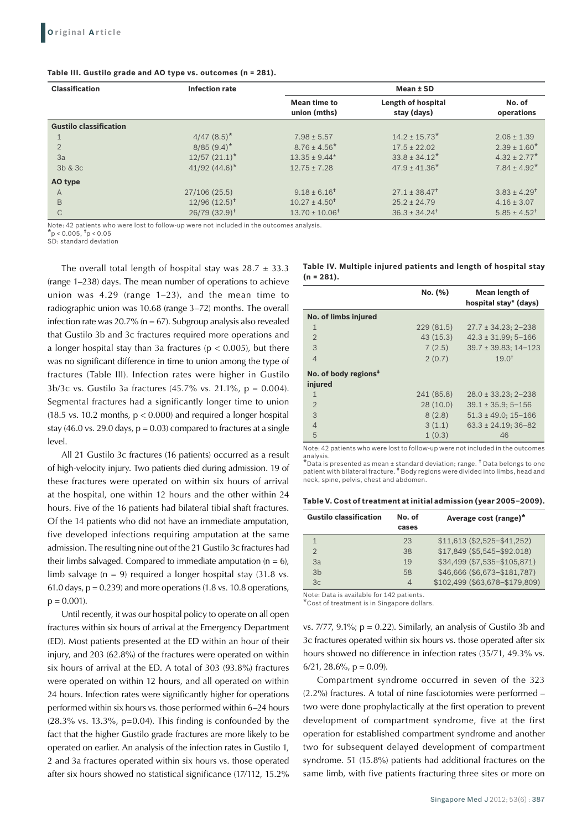#### **Table III. Gustilo grade and AO type vs. outcomes (n = 281).**

| <b>Classification</b>         | <b>Infection rate</b>       | Mean ± SD                    |                                   |                              |
|-------------------------------|-----------------------------|------------------------------|-----------------------------------|------------------------------|
|                               |                             | Mean time to<br>union (mths) | Length of hospital<br>stay (days) | No. of<br>operations         |
| <b>Gustilo classification</b> |                             |                              |                                   |                              |
|                               | $4/47$ $(8.5)^*$            | $7.98 \pm 5.57$              | $14.2 \pm 15.73$ *                | $2.06 \pm 1.39$              |
| $\overline{2}$                | $8/85(9.4)^*$               | $8.76 \pm 4.56^*$            | $17.5 \pm 22.02$                  | $2.39 \pm 1.60^*$            |
| 3a                            | $12/57$ $(21.1)^*$          | $13.35 \pm 9.44*$            | $33.8 \pm 34.12^*$                | $4.32 \pm 2.77$ *            |
| 3b & 3c                       | 41/92 $(44.6)^*$            | $12.75 \pm 7.28$             | $47.9 \pm 41.36^*$                | $7.84 \pm 4.92$ <sup>*</sup> |
| AO type                       |                             |                              |                                   |                              |
| A                             | 27/106 (25.5)               | $9.18 \pm 6.16^{\dagger}$    | $27.1 \pm 38.47^{\dagger}$        | $3.83 \pm 4.29$ <sup>t</sup> |
| B                             | $12/96$ $(12.5)^{+}$        | $10.27 \pm 4.50^+$           | $25.2 \pm 24.79$                  | $4.16 \pm 3.07$              |
| C                             | $26/79$ (32.9) <sup>t</sup> | $13.70 \pm 10.06^{\dagger}$  | $36.3 \pm 34.24^{\dagger}$        | $5.85 \pm 4.52^{\dagger}$    |

Note: 42 patients who were lost to follow-up were not included in the outcomes analysis.

 $^{\star}$ p < 0.005,  $^{\dagger}$ p < 0.05

SD: standard deviation

The overall total length of hospital stay was  $28.7 \pm 33.3$ (range 1–238) days. The mean number of operations to achieve union was 4.29 (range 1–23), and the mean time to radiographic union was 10.68 (range 3–72) months. The overall infection rate was 20.7% ( $n = 67$ ). Subgroup analysis also revealed that Gustilo 3b and 3c fractures required more operations and a longer hospital stay than 3a fractures ( $p < 0.005$ ), but there was no significant difference in time to union among the type of fractures (Table III). Infection rates were higher in Gustilo 3b/3c vs. Gustilo 3a fractures (45.7% vs. 21.1%, p = 0.004). Segmental fractures had a significantly longer time to union (18.5 vs. 10.2 months,  $p < 0.000$ ) and required a longer hospital stay (46.0 vs. 29.0 days,  $p = 0.03$ ) compared to fractures at a single level.

All 21 Gustilo 3c fractures (16 patients) occurred as a result of high-velocity injury. Two patients died during admission. 19 of these fractures were operated on within six hours of arrival at the hospital, one within 12 hours and the other within 24 hours. Five of the 16 patients had bilateral tibial shaft fractures. Of the 14 patients who did not have an immediate amputation, five developed infections requiring amputation at the same admission. The resulting nine out of the 21 Gustilo 3c fractures had their limbs salvaged. Compared to immediate amputation  $(n = 6)$ , limb salvage  $(n = 9)$  required a longer hospital stay (31.8 vs. 61.0 days,  $p = 0.239$  and more operations (1.8 vs. 10.8 operations,  $p = 0.001$ .

Until recently, it was our hospital policy to operate on all open fractures within six hours of arrival at the Emergency Department (ED). Most patients presented at the ED within an hour of their injury, and 203 (62.8%) of the fractures were operated on within six hours of arrival at the ED. A total of 303 (93.8%) fractures were operated on within 12 hours, and all operated on within 24 hours. Infection rates were significantly higher for operations performed within six hours vs. those performed within 6–24 hours  $(28.3\% \text{ vs. } 13.3\%, \text{ p=0.04}).$  This finding is confounded by the fact that the higher Gustilo grade fractures are more likely to be operated on earlier. An analysis of the infection rates in Gustilo 1, 2 and 3a fractures operated within six hours vs. those operated after six hours showed no statistical significance (17/112, 15.2%

|               |  |  | Table IV. Multiple injured patients and length of hospital stay |  |
|---------------|--|--|-----------------------------------------------------------------|--|
| $(n = 281)$ . |  |  |                                                                 |  |

|                                             | No. (%)    | Mean length of<br>hospital stay* (days) |
|---------------------------------------------|------------|-----------------------------------------|
| No. of limbs injured                        |            |                                         |
| 1                                           | 229 (81.5) | $27.7 \pm 34.23$ ; 2-238                |
| $\mathfrak{D}$                              | 43(15.3)   | $42.3 \pm 31.99; 5 - 166$               |
| $\mathcal{S}$                               | 7(2.5)     | $39.7 \pm 39.83$ : 14-123               |
| $\overline{4}$                              | 2(0.7)     | $19.0^{+}$                              |
| No. of body regions <sup>#</sup><br>injured |            |                                         |
| 1                                           | 241 (85.8) | $28.0 \pm 33.23$ ; 2-238                |
| $\overline{2}$                              | 28(10.0)   | $39.1 \pm 35.9$ ; 5-156                 |
| 3                                           | 8(2.8)     | $51.3 \pm 49.0$ ; 15-166                |
| $\overline{4}$                              | 3(1.1)     | $63.3 \pm 24.19$ ; 36-82                |
| 5                                           | 1(0.3)     | 46                                      |

Note: 42 patients who were lost to follow-up were not included in the outcomes analysis.

\*Data is presented as mean ± standard deviation; range. † Data belongs to one patient with bilateral fracture. ‡ Body regions were divided into limbs, head and neck, spine, pelvis, chest and abdomen.

| <b>Gustilo classification</b> | No. of<br>cases          | Average cost (range)*          |
|-------------------------------|--------------------------|--------------------------------|
| 1                             | 23                       | $$11.613$ (\$2.525-\$41.252)   |
| $\mathfrak{D}$                | 38                       | \$17,849 (\$5,545-\$92,018)    |
| 3a                            | 19                       | \$34,499 (\$7,535-\$105,871)   |
| 3 <sub>b</sub>                | 58                       | \$46,666 (\$6,673-\$181,787)   |
| 3c                            | $\overline{\mathcal{A}}$ | \$102,499 (\$63,678-\$179,809) |
|                               |                          |                                |

Note: Data is available for 142 patients. Cost of treatment is in Singapore dollars.

vs.  $7/77$ ,  $9.1\%$ ;  $p = 0.22$ ). Similarly, an analysis of Gustilo 3b and 3c fractures operated within six hours vs. those operated after six hours showed no difference in infection rates (35/71, 49.3% vs.  $6/21$ , 28.6%, p = 0.09).

Compartment syndrome occurred in seven of the 323 (2.2%) fractures. A total of nine fasciotomies were performed – two were done prophylactically at the first operation to prevent development of compartment syndrome, five at the first operation for established compartment syndrome and another two for subsequent delayed development of compartment syndrome. 51 (15.8%) patients had additional fractures on the same limb, with five patients fracturing three sites or more on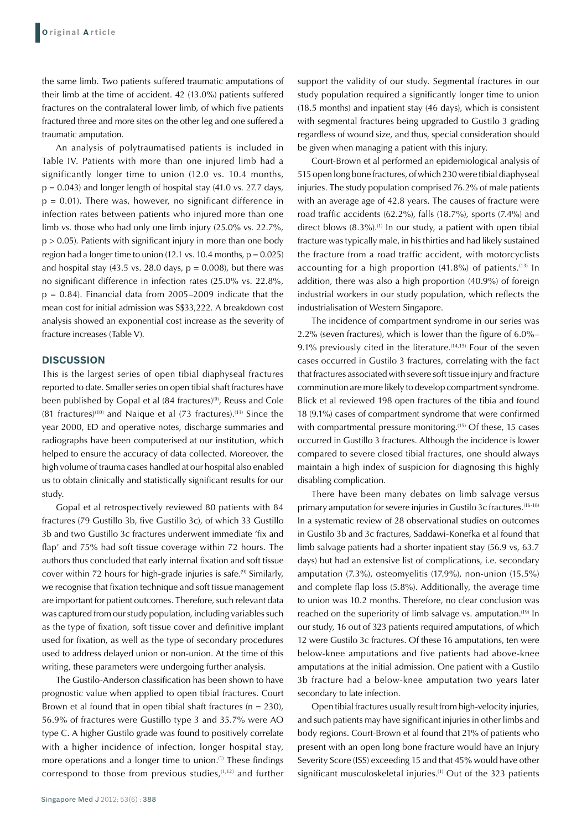the same limb. Two patients suffered traumatic amputations of their limb at the time of accident. 42 (13.0%) patients suffered fractures on the contralateral lower limb, of which five patients fractured three and more sites on the other leg and one suffered a traumatic amputation.

An analysis of polytraumatised patients is included in Table IV. Patients with more than one injured limb had a significantly longer time to union (12.0 vs. 10.4 months,  $p = 0.043$ ) and longer length of hospital stay (41.0 vs. 27.7 days,  $p = 0.01$ ). There was, however, no significant difference in infection rates between patients who injured more than one limb vs. those who had only one limb injury (25.0% vs. 22.7%,  $p > 0.05$ ). Patients with significant injury in more than one body region had a longer time to union (12.1 vs. 10.4 months,  $p = 0.025$ ) and hospital stay (43.5 vs. 28.0 days,  $p = 0.008$ ), but there was no significant difference in infection rates (25.0% vs. 22.8%,  $p = 0.84$ ). Financial data from 2005–2009 indicate that the mean cost for initial admission was S\$33,222. A breakdown cost analysis showed an exponential cost increase as the severity of fracture increases (Table V).

#### **DISCUSSION**

This is the largest series of open tibial diaphyseal fractures reported to date. Smaller series on open tibial shaft fractures have been published by Gopal et al (84 fractures)<sup>(9)</sup>, Reuss and Cole  $(81$  fractures)<sup>(10)</sup> and Naique et al  $(73$  fractures).<sup>(11)</sup> Since the year 2000, ED and operative notes, discharge summaries and radiographs have been computerised at our institution, which helped to ensure the accuracy of data collected. Moreover, the high volume of trauma cases handled at our hospital also enabled us to obtain clinically and statistically significant results for our study.

Gopal et al retrospectively reviewed 80 patients with 84 fractures (79 Gustillo 3b, five Gustillo 3c), of which 33 Gustillo 3b and two Gustillo 3c fractures underwent immediate 'fix and flap' and 75% had soft tissue coverage within 72 hours. The authors thus concluded that early internal fixation and soft tissue cover within 72 hours for high-grade injuries is safe.<sup>(9)</sup> Similarly, we recognise that fixation technique and soft tissue management are important for patient outcomes. Therefore, such relevant data was captured from our study population, including variables such as the type of fixation, soft tissue cover and definitive implant used for fixation, as well as the type of secondary procedures used to address delayed union or non-union. At the time of this writing, these parameters were undergoing further analysis.

The Gustilo-Anderson classification has been shown to have prognostic value when applied to open tibial fractures. Court Brown et al found that in open tibial shaft fractures ( $n = 230$ ), 56.9% of fractures were Gustillo type 3 and 35.7% were AO type C. A higher Gustilo grade was found to positively correlate with a higher incidence of infection, longer hospital stay, more operations and a longer time to union.<sup>(1)</sup> These findings correspond to those from previous studies.<sup> $(1,12)$ </sup> and further support the validity of our study. Segmental fractures in our study population required a significantly longer time to union (18.5 months) and inpatient stay (46 days), which is consistent with segmental fractures being upgraded to Gustilo 3 grading regardless of wound size, and thus, special consideration should be given when managing a patient with this injury.

Court-Brown et al performed an epidemiological analysis of 515 open long bone fractures, of which 230 were tibial diaphyseal injuries. The study population comprised 76.2% of male patients with an average age of 42.8 years. The causes of fracture were road traffic accidents (62.2%), falls (18.7%), sports (7.4%) and direct blows  $(8.3\%)$ .<sup>(1)</sup> In our study, a patient with open tibial fracture was typically male, in his thirties and had likely sustained the fracture from a road traffic accident, with motorcyclists accounting for a high proportion  $(41.8\%)$  of patients.<sup>(13)</sup> In addition, there was also a high proportion (40.9%) of foreign industrial workers in our study population, which reflects the industrialisation of Western Singapore.

The incidence of compartment syndrome in our series was 2.2% (seven fractures), which is lower than the figure of 6.0%– 9.1% previously cited in the literature.<sup>(14,15)</sup> Four of the seven cases occurred in Gustilo 3 fractures, correlating with the fact that fractures associated with severe soft tissue injury and fracture comminution are more likely to develop compartment syndrome. Blick et al reviewed 198 open fractures of the tibia and found 18 (9.1%) cases of compartment syndrome that were confirmed with compartmental pressure monitoring.<sup>(15)</sup> Of these, 15 cases occurred in Gustillo 3 fractures. Although the incidence is lower compared to severe closed tibial fractures, one should always maintain a high index of suspicion for diagnosing this highly disabling complication.

There have been many debates on limb salvage versus primary amputation for severe injuries in Gustilo 3c fractures.<sup>(16-18)</sup> In a systematic review of 28 observational studies on outcomes in Gustilo 3b and 3c fractures, Saddawi-Konefka et al found that limb salvage patients had a shorter inpatient stay (56.9 vs, 63.7 days) but had an extensive list of complications, i.e. secondary amputation (7.3%), osteomyelitis (17.9%), non-union (15.5%) and complete flap loss (5.8%). Additionally, the average time to union was 10.2 months. Therefore, no clear conclusion was reached on the superiority of limb salvage vs. amputation.<sup>(19)</sup> In our study, 16 out of 323 patients required amputations, of which 12 were Gustilo 3c fractures. Of these 16 amputations, ten were below-knee amputations and five patients had above-knee amputations at the initial admission. One patient with a Gustilo 3b fracture had a below-knee amputation two years later secondary to late infection.

Open tibial fractures usually result from high-velocity injuries, and such patients may have significant injuries in other limbs and body regions. Court-Brown et al found that 21% of patients who present with an open long bone fracture would have an Injury Severity Score (ISS) exceeding 15 and that 45% would have other significant musculoskeletal injuries.<sup>(1)</sup> Out of the 323 patients